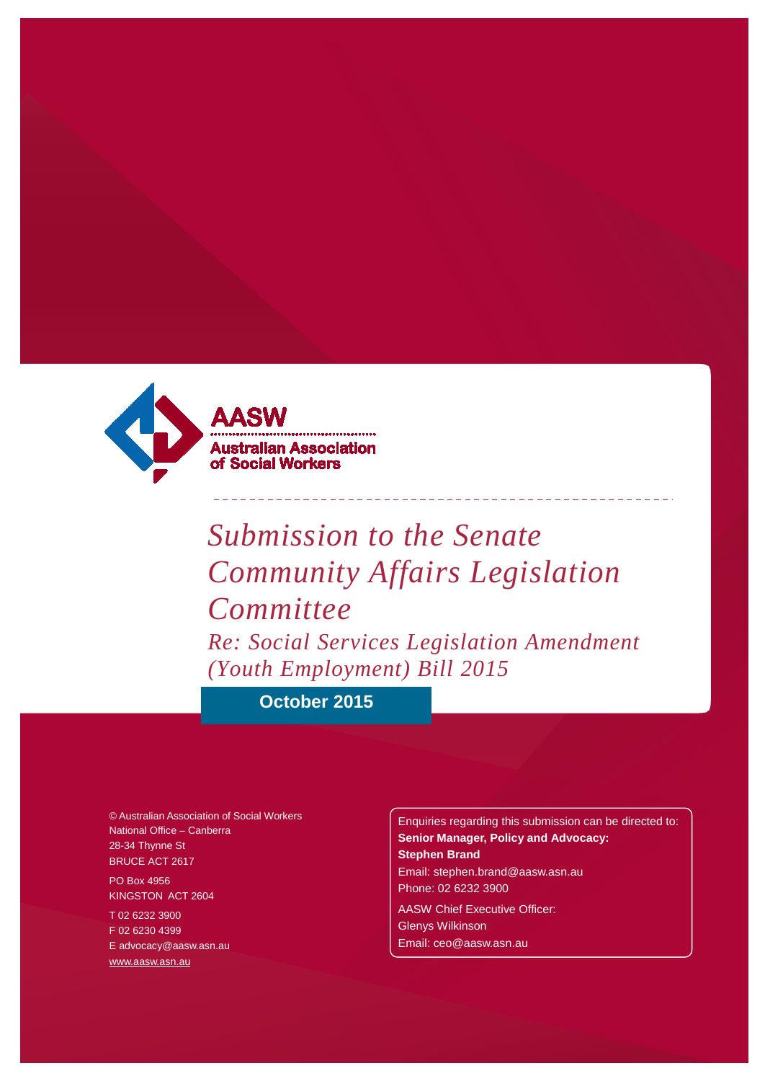

# *Submission to the Senate Community Affairs Legislation Committee Re: Social Services Legislation Amendment (Youth Employment) Bill 2015*

**October 2015**

© Australian Association of Social Workers National Office – Canberra 28-34 Thynne St BRUCE ACT 2617

PO Box 4956 KINGSTON ACT 2604

T 02 6232 3900 F 02 6230 4399 [E advocacy@aasw.asn.au](mailto:advocacy@aasw.asn.au) [www.aasw.asn.au](http://www.aasw.asn.au/)

Enquiries regarding this submission can be directed to: **Senior Manager, Policy and Advocacy: Stephen Brand** [Email: stephen.brand@aasw.asn.au](mailto:stephen.brand@aasw.asn.au) Phone: 02 6232 3900 AASW Chief Executive Officer: Glenys Wilkinson

[Email: ceo@aasw.asn.au](mailto:ceo@aasw.asn.au)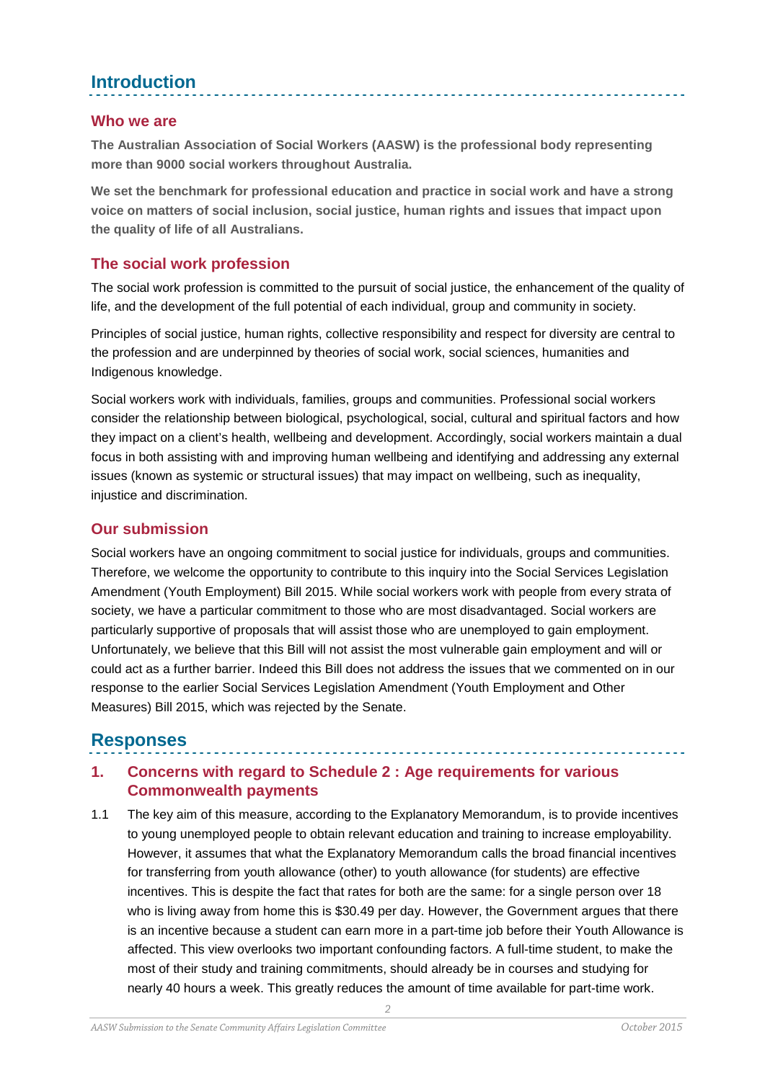# **Introduction**

#### **Who we are**

**The Australian Association of Social Workers (AASW) is the professional body representing more than 9000 social workers throughout Australia.** 

**We set the benchmark for professional education and practice in social work and have a strong voice on matters of social inclusion, social justice, human rights and issues that impact upon the quality of life of all Australians.**

#### **The social work profession**

The social work profession is committed to the pursuit of social justice, the enhancement of the quality of life, and the development of the full potential of each individual, group and community in society.

Principles of social justice, human rights, collective responsibility and respect for diversity are central to the profession and are underpinned by theories of social work, social sciences, humanities and Indigenous knowledge.

Social workers work with individuals, families, groups and communities. Professional social workers consider the relationship between biological, psychological, social, cultural and spiritual factors and how they impact on a client's health, wellbeing and development. Accordingly, social workers maintain a dual focus in both assisting with and improving human wellbeing and identifying and addressing any external issues (known as systemic or structural issues) that may impact on wellbeing, such as inequality, injustice and discrimination.

#### **Our submission**

Social workers have an ongoing commitment to social justice for individuals, groups and communities. Therefore, we welcome the opportunity to contribute to this inquiry into the Social Services Legislation Amendment (Youth Employment) Bill 2015. While social workers work with people from every strata of society, we have a particular commitment to those who are most disadvantaged. Social workers are particularly supportive of proposals that will assist those who are unemployed to gain employment. Unfortunately, we believe that this Bill will not assist the most vulnerable gain employment and will or could act as a further barrier. Indeed this Bill does not address the issues that we commented on in our response to the earlier Social Services Legislation Amendment (Youth Employment and Other Measures) Bill 2015, which was rejected by the Senate.

## **Responses**

## **1. Concerns with regard to Schedule 2 : Age requirements for various Commonwealth payments**

1.1 The key aim of this measure, according to the Explanatory Memorandum, is to provide incentives to young unemployed people to obtain relevant education and training to increase employability. However, it assumes that what the Explanatory Memorandum calls the broad financial incentives for transferring from youth allowance (other) to youth allowance (for students) are effective incentives. This is despite the fact that rates for both are the same: for a single person over 18 who is living away from home this is \$30.49 per day. However, the Government argues that there is an incentive because a student can earn more in a part-time job before their Youth Allowance is affected. This view overlooks two important confounding factors. A full-time student, to make the most of their study and training commitments, should already be in courses and studying for nearly 40 hours a week. This greatly reduces the amount of time available for part-time work.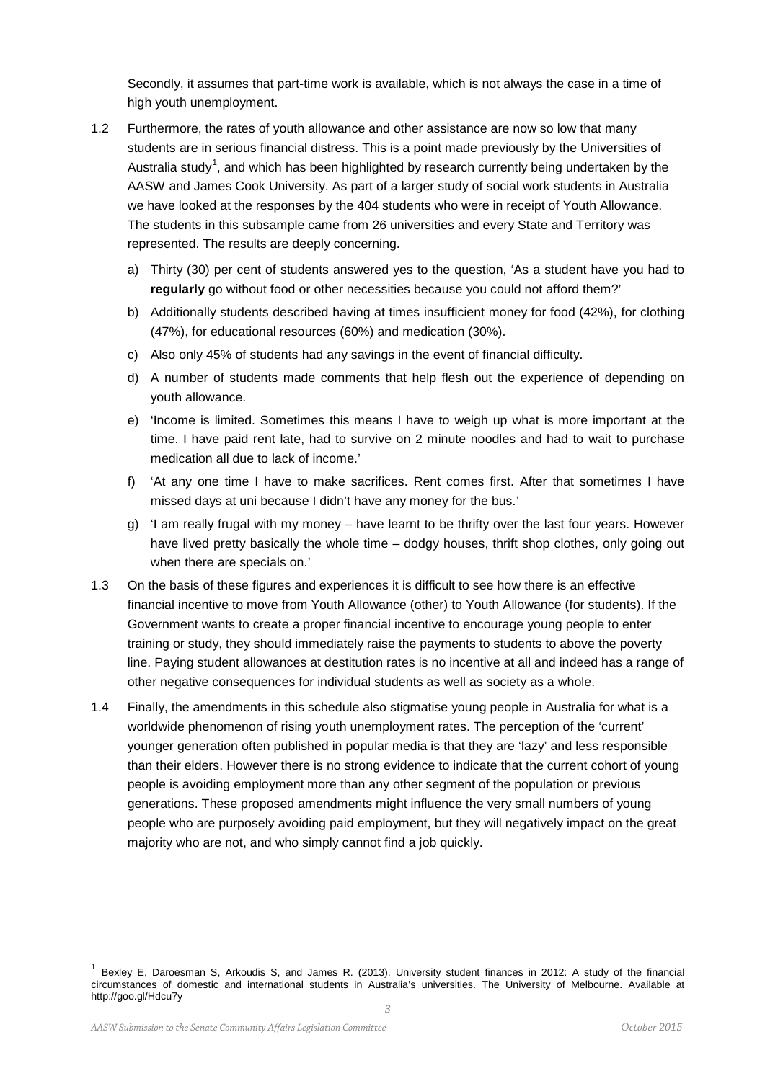Secondly, it assumes that part-time work is available, which is not always the case in a time of high youth unemployment.

- 1.2 Furthermore, the rates of youth allowance and other assistance are now so low that many students are in serious financial distress. This is a point made previously by the Universities of Australia study<sup>[1](#page-2-0)</sup>, and which has been highlighted by research currently being undertaken by the AASW and James Cook University. As part of a larger study of social work students in Australia we have looked at the responses by the 404 students who were in receipt of Youth Allowance. The students in this subsample came from 26 universities and every State and Territory was represented. The results are deeply concerning.
	- a) Thirty (30) per cent of students answered yes to the question, 'As a student have you had to **regularly** go without food or other necessities because you could not afford them?'
	- b) Additionally students described having at times insufficient money for food (42%), for clothing (47%), for educational resources (60%) and medication (30%).
	- c) Also only 45% of students had any savings in the event of financial difficulty.
	- d) A number of students made comments that help flesh out the experience of depending on youth allowance.
	- e) 'Income is limited. Sometimes this means I have to weigh up what is more important at the time. I have paid rent late, had to survive on 2 minute noodles and had to wait to purchase medication all due to lack of income.'
	- f) 'At any one time I have to make sacrifices. Rent comes first. After that sometimes I have missed days at uni because I didn't have any money for the bus.'
	- g) 'I am really frugal with my money have learnt to be thrifty over the last four years. However have lived pretty basically the whole time – dodgy houses, thrift shop clothes, only going out when there are specials on.'
- 1.3 On the basis of these figures and experiences it is difficult to see how there is an effective financial incentive to move from Youth Allowance (other) to Youth Allowance (for students). If the Government wants to create a proper financial incentive to encourage young people to enter training or study, they should immediately raise the payments to students to above the poverty line. Paying student allowances at destitution rates is no incentive at all and indeed has a range of other negative consequences for individual students as well as society as a whole.
- 1.4 Finally, the amendments in this schedule also stigmatise young people in Australia for what is a worldwide phenomenon of rising youth unemployment rates. The perception of the 'current' younger generation often published in popular media is that they are 'lazy' and less responsible than their elders. However there is no strong evidence to indicate that the current cohort of young people is avoiding employment more than any other segment of the population or previous generations. These proposed amendments might influence the very small numbers of young people who are purposely avoiding paid employment, but they will negatively impact on the great majority who are not, and who simply cannot find a job quickly.

<span id="page-2-0"></span> <sup>1</sup> Bexley E, Daroesman S, Arkoudis S, and James R. (2013). University student finances in 2012: A study of the financial circumstances of domestic and international students in Australia's universities. The University of Melbourne. Available at http://goo.gl/Hdcu7y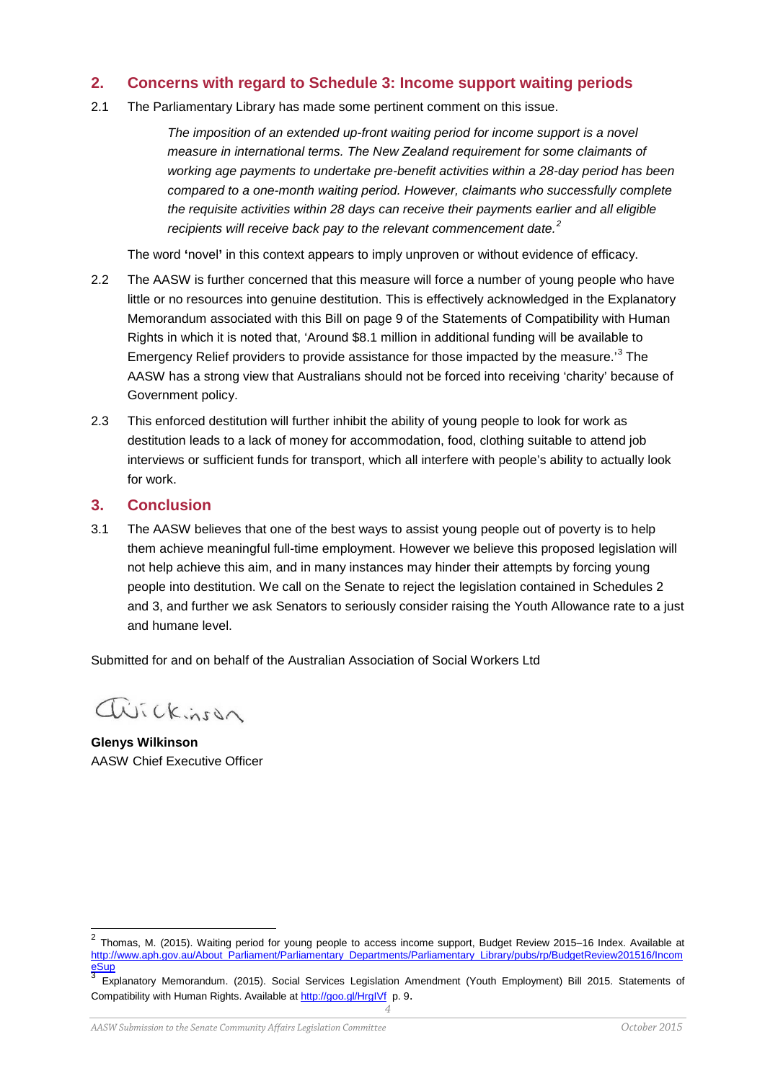#### **2. Concerns with regard to Schedule 3: Income support waiting periods**

2.1 The Parliamentary Library has made some pertinent comment on this issue.

*The imposition of an extended up-front waiting period for income support is a novel measure in international terms. The New Zealand requirement for some claimants of working age payments to undertake pre-benefit activities within a 28-day period has been compared to a one-month waiting period. However, claimants who successfully complete the requisite activities within 28 days can receive their payments earlier and all eligible recipients will receive back pay to the relevant commencement date.[2](#page-3-0)*

The word **'**novel**'** in this context appears to imply unproven or without evidence of efficacy.

- 2.2 The AASW is further concerned that this measure will force a number of young people who have little or no resources into genuine destitution. This is effectively acknowledged in the Explanatory Memorandum associated with this Bill on page 9 of the Statements of Compatibility with Human Rights in which it is noted that, 'Around \$8.1 million in additional funding will be available to Emergency Relief providers to provide assistance for those impacted by the measure.<sup>[3](#page-3-1)</sup> The AASW has a strong view that Australians should not be forced into receiving 'charity' because of Government policy.
- 2.3 This enforced destitution will further inhibit the ability of young people to look for work as destitution leads to a lack of money for accommodation, food, clothing suitable to attend job interviews or sufficient funds for transport, which all interfere with people's ability to actually look for work.

#### **3. Conclusion**

3.1 The AASW believes that one of the best ways to assist young people out of poverty is to help them achieve meaningful full-time employment. However we believe this proposed legislation will not help achieve this aim, and in many instances may hinder their attempts by forcing young people into destitution. We call on the Senate to reject the legislation contained in Schedules 2 and 3, and further we ask Senators to seriously consider raising the Youth Allowance rate to a just and humane level.

Submitted for and on behalf of the Australian Association of Social Workers Ltd

Wickinson

**Glenys Wilkinson** AASW Chief Executive Officer

<span id="page-3-0"></span> $2$  Thomas, M. (2015). Waiting period for young people to access income support, Budget Review 2015-16 Index. Available at [http://www.aph.gov.au/About\\_Parliament/Parliamentary\\_Departments/Parliamentary\\_Library/pubs/rp/BudgetReview201516/Incom](http://www.aph.gov.au/About_Parliament/Parliamentary_Departments/Parliamentary_Library/pubs/rp/BudgetReview201516/IncomeSup)<br>eSup<br>3 European Marcos (2005)

<span id="page-3-1"></span>*<sup>4</sup>* Explanatory Memorandum. (2015). Social Services Legislation Amendment (Youth Employment) Bill 2015. Statements of Compatibility with Human Rights. Available at <http://goo.gl/HrgIVf> p. 9.